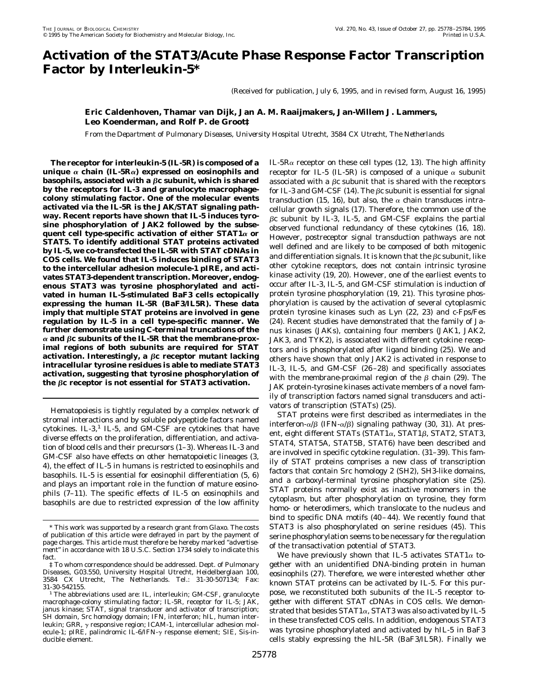# **Activation of the STAT3/Acute Phase Response Factor Transcription Factor by Interleukin-5\***

(Received for publication, July 6, 1995, and in revised form, August 16, 1995)

# **Eric Caldenhoven, Thamar van Dijk, Jan A. M. Raaijmakers, Jan-Willem J. Lammers, Leo Koenderman, and Rolf P. de Groot‡**

*From the Department of Pulmonary Diseases, University Hospital Utrecht, 3584 CX Utrecht, The Netherlands*

**The receptor for interleukin-5 (IL-5R) is composed of a unique** <sup>a</sup> **chain (IL-5R**a**) expressed on eosinophils and basophils, associated with a βc subunit, which is shared by the receptors for IL-3 and granulocyte macrophagecolony stimulating factor. One of the molecular events activated via the IL-5R is the JAK/STAT signaling pathway. Recent reports have shown that IL-5 induces tyrosine phosphorylation of JAK2 followed by the subsequent cell type-specific activation of either STAT1**<sup>a</sup> **or STAT5. To identify additional STAT proteins activated by IL-5, we co-transfected the IL-5R with STAT cDNAs in COS cells. We found that IL-5 induces binding of STAT3 to the intercellular adhesion molecule-1 pIRE, and activates STAT3-dependent transcription. Moreover, endogenous STAT3 was tyrosine phosphorylated and activated in human IL-5-stimulated BaF3 cells ectopically expressing the human IL-5R (BaF3/IL5R). These data imply that multiple STAT proteins are involved in gene regulation by IL-5 in a cell type-specific manner. We further demonstrate using C-terminal truncations of the**  $\alpha$  and  $\beta$ c subunits of the IL-5R that the membrane-prox**imal regions of both subunits are required for STAT** activation. Interestingly, a  $\beta c$  receptor mutant lacking **intracellular tyrosine residues is able to mediate STAT3 activation, suggesting that tyrosine phosphorylation of the** b**c receptor is not essential for STAT3 activation.**

Hematopoiesis is tightly regulated by a complex network of stromal interactions and by soluble polypeptide factors named cytokines. IL-3, $1$  IL-5, and GM-CSF are cytokines that have diverse effects on the proliferation, differentiation, and activation of blood cells and their precursors (1–3). Whereas IL-3 and GM-CSF also have effects on other hematopoietic lineages (3, 4), the effect of IL-5 in humans is restricted to eosinophils and basophils. IL-5 is essential for eosinophil differentiation (5, 6) and plays an important role in the function of mature eosinophils (7–11). The specific effects of IL-5 on eosinophils and basophils are due to restricted expression of the low affinity

IL-5R $\alpha$  receptor on these cell types (12, 13). The high affinity receptor for IL-5 (IL-5R) is composed of a unique  $\alpha$  subunit associated with a  $\beta c$  subunit that is shared with the receptors for IL-3 and GM-CSF (14). The  $\beta c$  subunit is essential for signal transduction (15, 16), but also, the  $\alpha$  chain transduces intracellular growth signals (17). Therefore, the common use of the  $\beta$ c subunit by IL-3, IL-5, and GM-CSF explains the partial observed functional redundancy of these cytokines (16, 18). However, postreceptor signal transduction pathways are not well defined and are likely to be composed of both mitogenic and differentiation signals. It is known that the  $\beta c$  subunit, like other cytokine receptors, does not contain intrinsic tyrosine kinase activity (19, 20). However, one of the earliest events to occur after IL-3, IL-5, and GM-CSF stimulation is induction of protein tyrosine phosphorylation (19, 21). This tyrosine phosphorylation is caused by the activation of several cytoplasmic protein tyrosine kinases such as Lyn (22, 23) and c-Fps/Fes (24). Recent studies have demonstrated that the family of Janus kinases (JAKs), containing four members (JAK1, JAK2, JAK3, and TYK2), is associated with different cytokine receptors and is phosphorylated after ligand binding (25). We and others have shown that only JAK2 is activated in response to IL-3, IL-5, and GM-CSF (26 –28) and specifically associates with the membrane-proximal region of the  $\beta$  chain (29). The JAK protein-tyrosine kinases activate members of a novel family of transcription factors named signal transducers and activators of transcription (STATs) (25).

STAT proteins were first described as intermediates in the interferon- $\alpha/\beta$  (IFN- $\alpha/\beta$ ) signaling pathway (30, 31). At present, eight different STATs (STAT1 $\alpha$ , STAT1 $\beta$ , STAT2, STAT3, STAT4, STAT5A, STAT5B, STAT6) have been described and are involved in specific cytokine regulation. (31–39). This family of STAT proteins comprises a new class of transcription factors that contain Src homology 2 (SH2), SH3-like domains, and a carboxyl-terminal tyrosine phosphorylation site (25). STAT proteins normally exist as inactive monomers in the cytoplasm, but after phosphorylation on tyrosine, they form homo- or heterodimers, which translocate to the nucleus and bind to specific DNA motifs (40-44). We recently found that STAT3 is also phosphorylated on serine residues (45). This serine phosphorylation seems to be necessary for the regulation of the transactivation potential of STAT3.

We have previously shown that IL-5 activates  $STAT1\alpha$  together with an unidentified DNA-binding protein in human eosinophils (27). Therefore, we were interested whether other known STAT proteins can be activated by IL-5. For this purpose, we reconstituted both subunits of the IL-5 receptor together with different STAT cDNAs in COS cells. We demonstrated that besides  $STAT1\alpha$ ,  $STAT3$  was also activated by IL-5 in these transfected COS cells. In addition, endogenous STAT3 was tyrosine phosphorylated and activated by hIL-5 in BaF3 cells stably expressing the hIL-5R (BaF3/IL5R). Finally we

<sup>\*</sup> This work was supported by a research grant from Glaxo. The costs of publication of this article were defrayed in part by the payment of page charges. This article must therefore be hereby marked "*advertisement*" in accordance with 18 U.S.C. Section 1734 solely to indicate this fact.

<sup>‡</sup> To whom correspondence should be addressed. Dept. of Pulmonary Diseases, G03.550, University Hospital Utrecht, Heidelberglaan 100, 3584 CX Utrecht, The Netherlands. Tel.: 31-30-507134; Fax:

 $<sup>1</sup>$  The abbreviations used are: IL, interleukin; GM-CSF, granulocyte</sup> macrophage-colony stimulating factor; IL-5R, receptor for IL-5; JAK, janus kinase; STAT, signal transducer and activator of transcription; SH domain, Src homology domain; IFN, interferon; hIL, human interleukin; GRR,  $\gamma$  responsive region; ICAM-1, intercellular adhesion molecule-1; pIRE, palindromic IL-6/IFN-<sup>g</sup> response element; SIE, Sis-inducible element.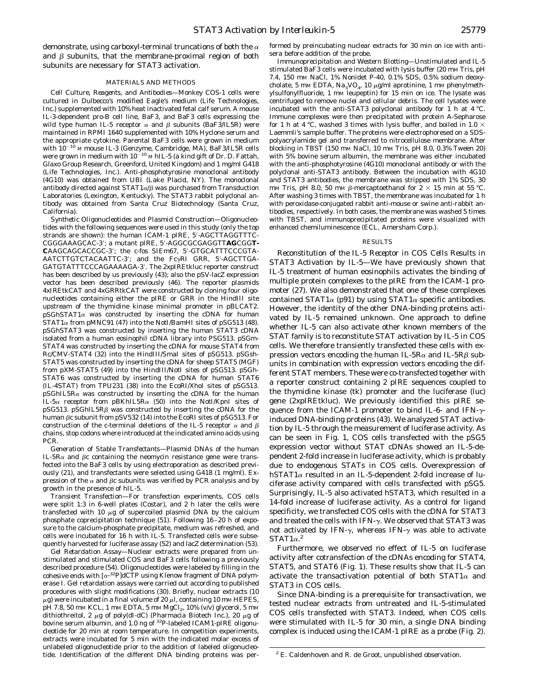demonstrate, using carboxyl-terminal truncations of both the  $\alpha$ and  $\beta$  subunits, that the membrane-proximal region of both subunits are necessary for STAT3 activation.

### MATERIALS AND METHODS

*Cell Culture, Reagents, and Antibodies—*Monkey COS-1 cells were cultured in Dulbecco's modified Eagle's medium (Life Technologies, Inc.) supplemented with 10% heat inactivated fetal calf serum. A mouse IL-3-dependent pro-B cell line, BaF3, and BaF3 cells expressing the wild type human IL-5 receptor  $\alpha$  and  $\beta$  subunits (BaF3/IL5R) were maintained in RPMI 1640 supplemented with 10% Hyclone serum and the appropriate cytokine. Parental BaF3 cells were grown in medium with  $10^{-10}$  M mouse IL-3 (Genzyme, Cambridge, MA), BaF3/IL5R cells were grown in medium with  $10^{-10}$  M hIL-5 (a kind gift of Dr. D. Fattah, Glaxo Group Research, Greenford, United Kingdom) and 1 mg/ml G418 (Life Technologies, Inc.). Anti-phosphotyrosine monoclonal antibody (4G10) was obtained from UBI (Lake Placid, NY). The monoclonal antibody directed against  $STAT1\alpha/\beta$  was purchased from Transduction Laboratories (Lexington, Kentucky). The STAT3 rabbit polyclonal antibody was obtained from Santa Cruz Biotechnology (Santa Cruz, California).

*Synthetic Oligonucleotides and Plasmid Construction—*Oligonucleotides with the following sequences were used in this study (only the top strands are shown): the human ICAM-1 pIRE, 5'-AGCTTAGGTTTC-CGGGAAAGCAC-3'; a mutant pIRE, 5'-AGGCGCGAGGTTAGCGGT-**CAAGCAGCACCGC-3'**; the *c-fos* SIEm67, 5'-GTGCATTTCCCGTA-AATCTTGTCTACAATTC-3'; and the FcyRI GRR, 5'-AGCTTGA-GATGTATTTCCCAGAAAAGA-3'. The 2xpIREtkluc reporter construct has been described by us previously (43); also the pSV-lacZ expression vector has been described previously (46). The reporter plasmids 4xIREtkCAT and 4xGRRtkCAT were constructed by cloning four oligonucleotides containing either the pIRE or GRR in the *Hin*dIII site upstream of the thymidine kinase minimal promoter in pBLCAT2.  $pSGhSTAT1\alpha$  was constructed by inserting the cDNA for human STAT1<sup>a</sup> from pMNC91 (47) into the *Not*I/*Bam*HI sites of pSG513 (48). pSGhSTAT3 was constructed by inserting the human STAT3 cDNA isolated from a human eosinophil cDNA library into PSG513. pSGm-STAT4 was constructed by inserting the cDNA for mouse STAT4 from Rc/CMV-STAT4 (32) into the *Hin*dIII/*Sma*I sites of pSG513. pSGsh-STAT5 was constructed by inserting the cDNA for sheep STAT5 (MGF) from pXM-STAT5 (49) into the *Hin*dIII/*Not*I sites of pSG513. pSGh-STAT6 was constructed by inserting the cDNA for human STAT6 (IL-4STAT) from TPU231 (38) into the *Eco*RI/*Xho*I sites of pSG513.  $pSGhIL5R\alpha$  was constructed by inserting the cDNA for the human IL-5<sup>a</sup> receptor from pBKhIL5R<sup>a</sup> (50) into the *Not*I/*Kpn*I sites of  $pSG513. pSGhIL5R\beta$  was constructed by inserting the cDNA for the human bc subunit from pSV532 (14) into the *Eco*RI sites of pSG513. For construction of the c-terminal deletions of the IL-5 receptor  $\alpha$  and  $\beta$ chains, stop codons where introduced at the indicated amino acids using PCR.

*Generation of Stable Transfectants—*Plasmid DNAs of the human IL-5R $\alpha$  and  $\beta c$  containing the neomycin resistance gene were transfected into the BaF3 cells by using electroporation as described previously (21), and transfectants were selected using G418 (1 mg/ml). Expression of the  $\alpha$  and  $\beta c$  subunits was verified by PCR analysis and by growth in the presence of hIL-5.

*Transient Transfection—*For transfection experiments, COS cells were split 1:3 in 6-well plates (Costar), and 2 h later the cells were transfected with 10  $\mu$ g of supercoiled plasmid DNA by the calcium phosphate coprecipitation technique (51). Following 16 –20 h of exposure to the calcium-phosphate precipitate, medium was refreshed, and cells were incubated for 16 h with IL-5. Transfected cells were subsequently harvested for luciferase assay (52) and lacZ determination (53).

*Gel Retardation Assay—*Nuclear extracts were prepared from unstimulated and stimulated COS and BaF3 cells following a previously described procedure (54). Oligonucleotides were labeled by filling in the cohesive ends with  $\left[\alpha^{-32}P\right]$ dCTP using Klenow fragment of DNA polymerase I. Gel retardation assays were carried out according to published procedures with slight modifications (30). Briefly, nuclear extracts (10  $\mu$ g) were incubated in a final volume of 20  $\mu$ l, containing 10 mM HEPES, pH 7.8, 50 mm KCL, 1 mm EDTA, 5 mm MgCl<sub>2</sub>, 10% (v/v) glycerol, 5 mm dithiothreitol, 2  $\mu$ g of poly(dI-dC) (Pharmacia Biotech Inc.), 20  $\mu$ g of bovine serum albumin, and 1.0 ng of 32P-labeled ICAM1-pIRE oligonucleotide for 20 min at room temperature. In competition experiments, extracts were incubated for 5 min with the indicated molar excess of unlabeled oligonucleotide prior to the addition of labeled oligonucleotide. Identification of the different DNA binding proteins was per-

*Immunoprecipitation and Western Blotting—*Unstimulated and IL-5 stimulated BaF3 cells were incubated with lysis buffer (20 mm Tris, pH 7.4, 150 mM NaCl, 1% Nonidet P-40, 0.1% SDS, 0.5% sodium deoxycholate, 5 mm EDTA, Na<sub>3</sub>VO<sub>4</sub>, 10  $\mu$ g/ml aprotinine, 1 mm phenylmethylsulfonylfluoride, 1 mm leupeptin) for 15 min on ice. The lysate was centrifuged to remove nuclei and cellular debris. The cell lysates were incubated with the anti-STAT3 polyclonal antibody for 1 h at 4 °C. Immune complexes were then precipitated with protein A-Sepharose for 1 h at 4 °C, washed 3 times with lysis buffer, and boiled in 1.0  $\times$ Laemmli's sample buffer. The proteins were electrophoresed on a SDSpolyacrylamide gel and transferred to nitrocellulose membrane. After blocking in TBST (150 mM NaCl, 10 mM Tris, pH 8.0, 0.3% Tween 20) with 5% bovine serum albumin, the membrane was either incubated with the anti-phosphotyrosine (4G10) monoclonal antibody or with the polyclonal anti-STAT3 antibody. Between the incubation with 4G10 and STAT3 antibodies, the membrane was stripped with 1% SDS, 30 mm Tris, pH 8.0, 50 mm  $\beta$ -mercaptoethanol for 2  $\times$  15 min at 55 °C. After washing 3 times with TBST, the membrane was incubated for 1 h with peroxidase-conjugated rabbit anti-mouse or swine anti-rabbit antibodies, respectively. In both cases, the membrane was washed 5 times with TBST, and immunoprecipitated proteins were visualized with enhanced chemiluminescence (ECL, Amersham Corp.).

# RESULTS

*Reconstitution of the IL-5 Receptor in COS Cells Results in STAT3 Activation by IL-5—*We have previously shown that IL-5 treatment of human eosinophils activates the binding of multiple protein complexes to the pIRE from the ICAM-1 promoter (27). We also demonstrated that one of these complexes contained STAT1 $\alpha$  (p91) by using STAT1 $\alpha$  specific antibodies. However, the identity of the other DNA-binding proteins activated by IL-5 remained unknown. One approach to define whether IL-5 can also activate other known members of the STAT family is to reconstitute STAT activation by IL-5 in COS cells. We therefore transiently transfected these cells with expression vectors encoding the human IL-5R $\alpha$  and IL-5R $\beta$  subunits in combination with expression vectors encoding the different STAT members. These were co-transfected together with a reporter construct containing 2 pIRE sequences coupled to the thymidine kinase (tk) promoter and the luciferase (luc) gene (2xpIREtkluc). We previously identified this pIRE sequence from the ICAM-1 promoter to bind IL-6- and IFN- $\gamma$ induced DNA-binding proteins (43). We analyzed STAT activation by IL-5 through the measurement of luciferase activity. As can be seen in Fig. 1, COS cells transfected with the pSG5 expression vector without STAT cDNAs showed an IL-5-dependent 2-fold increase in luciferase activity, which is probably due to endogenous STATs in COS cells. Overexpression of  $hSTAT1\alpha$  resulted in an IL-5-dependent 2-fold increase of luciferase activity compared with cells transfected with pSG5. Surprisingly, IL-5 also activated hSTAT3, which resulted in a 14-fold increase of luciferase activity. As a control for ligand specificity, we transfected COS cells with the cDNA for STAT3 and treated the cells with IFN-y. We observed that STAT3 was not activated by IFN- $\gamma$ , whereas IFN- $\gamma$  was able to activate  $STAT1\alpha^2$ 

Furthermore, we observed no effect of IL-5 on luciferase activity after cotransfection of the cDNAs encoding for STAT4, STAT5, and STAT6 (Fig. 1). These results show that IL-5 can activate the transactivation potential of both  $STAT1\alpha$  and STAT3 in COS cells.

Since DNA-binding is a prerequisite for transactivation, we tested nuclear extracts from untreated and IL-5-stimulated COS cells transfected with STAT3. Indeed, when COS cells were stimulated with IL-5 for 30 min, a single DNA binding complex is induced using the ICAM-1 pIRE as a probe (Fig. 2).

 $2$  E. Caldenhoven and R. de Groot, unpublished observation.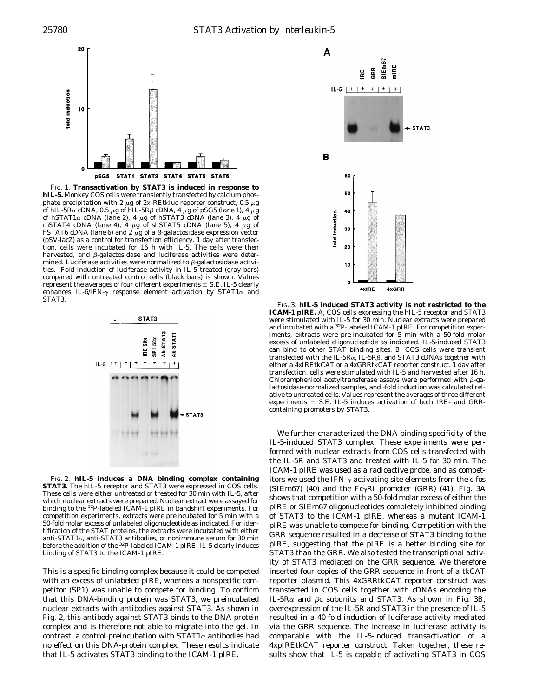

FIG. 1. **Transactivation by STAT3 is induced in response to hIL-5.** Monkey COS cells were transiently transfected by calcium phosphate precipitation with 2  $\mu$ g of 2xIREtkluc reporter construct, 0.5  $\mu$ g of hIL-5R $\alpha$  cDNA, 0.5  $\mu$ g of hIL-5R $\beta$  cDNA, 4  $\mu$ g of pSG5 (*lane 1*), 4  $\mu$ g of hSTAT1 $\alpha$  cDNA (*lane 2*), 4  $\mu$ g of hSTAT3 cDNA (*lane 3*), 4  $\mu$ g of mSTAT4 cDNA (*lane 4*), 4 <sup>m</sup>g of shSTAT5 cDNA (*lane 5*), 4 <sup>m</sup>g of hSTAT6 cDNA (*lane 6*) and 2  $\mu$ g of a  $\beta$ -galactosidase expression vector (pSV-lacZ) as a control for transfection efficiency. 1 day after transfection, cells were incubated for 16 h with IL-5. The cells were then harvested, and  $\beta$ -galactosidase and luciferase activities were determined. Luciferase activities were normalized to  $\beta$ -galactosidase activities. -Fold induction of luciferase activity in IL-5 treated (*gray bars*) compared with untreated control cells (*black bars*) is shown. Values represent the averages of four different experiments  $\pm$  S.E. IL-5 clearly enhances IL-6/IFN- $\gamma$  response element activation by STAT1 $\alpha$  and STAT3.



FIG. 2. **hIL-5 induces a DNA binding complex containing STAT3.** The hIL-5 receptor and STAT3 were expressed in COS cells. These cells were either untreated or treated for 30 min with IL-5, after which nuclear extracts were prepared. Nuclear extract were assayed for binding to the 32P-labeled ICAM-1 pIRE in bandshift experiments. For competition experiments, extracts were preincubated for 5 min with a 50-fold molar excess of unlabeled oligonucleotide as indicated. For identification of the STAT proteins, the extracts were incubated with either anti-STAT1 $\alpha$ , anti-STAT3 antibodies, or nonimmune serum for 30 min before the addition of the 32P-labeled ICAM-1 pIRE. IL-5 clearly induces binding of STAT3 to the ICAM-1 pIRE.

This is a specific binding complex because it could be competed with an excess of unlabeled pIRE, whereas a nonspecific competitor (SP1) was unable to compete for binding. To confirm that this DNA-binding protein was STAT3, we preincubated nuclear extracts with antibodies against STAT3. As shown in Fig. 2, this antibody against STAT3 binds to the DNA-protein complex and is therefore not able to migrate into the gel. In contrast, a control preincubation with  $STAT1\alpha$  antibodies had no effect on this DNA-protein complex. These results indicate that IL-5 activates STAT3 binding to the ICAM-1 pIRE.



FIG. 3. **hIL-5 induced STAT3 activity is not restricted to the ICAM-1 pIRE.** *A*, COS cells expressing the hIL-5 receptor and STAT3 were stimulated with IL-5 for 30 min. Nuclear extracts were prepared and incubated with a <sup>32</sup>P-labeled ICAM-1 pIRE. For competition experiments, extracts were pre-incubated for 5 min with a 50-fold molar excess of unlabeled oligonucleotide as indicated. IL-5-induced STAT3 can bind to other STAT binding sites. *B*, COS cells were transient transfected with the IL-5R $\alpha$ , IL-5R $\beta$ , and STAT3 cDNAs together with either a 4xIREtkCAT or a 4xGRRtkCAT reporter construct. 1 day after transfection, cells were stimulated with IL-5 and harvested after 16 h. Chloramphenicol acetyltransferase assays were performed with  $\beta$ -galactosidase-normalized samples, and -fold induction was calculated relative to untreated cells. Values represent the averages of three different experiments  $\pm$  S.E. IL-5 induces activation of both IRE- and GRRcontaining promoters by STAT3.

We further characterized the DNA-binding specificity of the IL-5-induced STAT3 complex. These experiments were performed with nuclear extracts from COS cells transfected with the IL-5R and STAT3 and treated with IL-5 for 30 min. The ICAM-1 pIRE was used as a radioactive probe, and as competitors we used the IFN- $\gamma$  activating site elements from the c-fos (SIEm67) (40) and the FcgRI promoter (GRR) (41). Fig. 3*A* shows that competition with a 50-fold molar excess of either the pIRE or SIEm67 oligonucleotides completely inhibited binding of STAT3 to the ICAM-1 pIRE, whereas a mutant ICAM-1 pIRE was unable to compete for binding. Competition with the GRR sequence resulted in a decrease of STAT3 binding to the pIRE, suggesting that the pIRE is a better binding site for STAT3 than the GRR. We also tested the transcriptional activity of STAT3 mediated on the GRR sequence. We therefore inserted four copies of the GRR sequence in front of a tkCAT reporter plasmid. This 4xGRRtkCAT reporter construct was transfected in COS cells together with cDNAs encoding the IL-5R $\alpha$  and  $\beta$ c subunits and STAT3. As shown in Fig. 3*B*, overexpression of the IL-5R and STAT3 in the presence of IL-5 resulted in a 40-fold induction of luciferase activity mediated via the GRR sequence. The increase in luciferase activity is comparable with the IL-5-induced transactivation of a 4xpIREtkCAT reporter construct. Taken together, these results show that IL-5 is capable of activating STAT3 in COS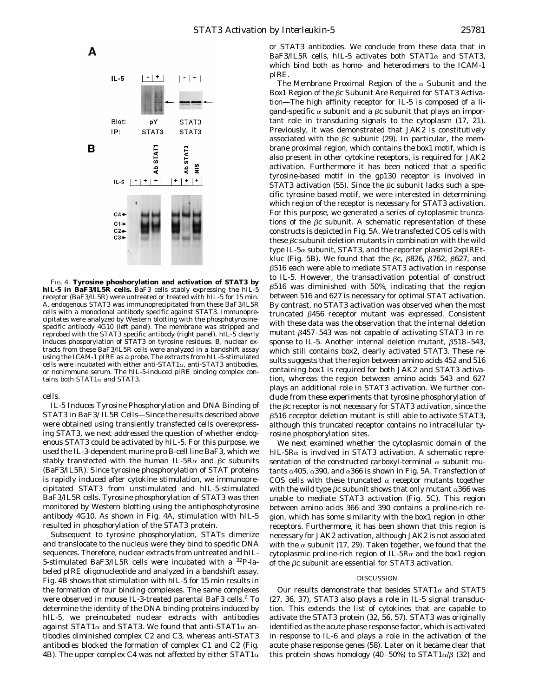

FIG. 4. **Tyrosine phoshorylation and activation of STAT3 by hIL-5 in BaF3/IL5R cells.** BaF3 cells stably expressing the hIL-5 receptor (BaF3/IL5R) were untreated or treated with hIL-5 for 15 min. *A,* endogenous STAT3 was immunoprecipitated from these BaF3/IL5R cells with a monoclonal antibody specific against STAT3. Immunoprecipitates were analyzed by Western blotting with the phosphotyrosinespecific antibody 4G10 (*left panel*). The membrane was stripped and reprobed with the STAT3 specific antibody (*right panel*). hIL-5 clearly induces phosporylation of STAT3 on tyrosine residues. *B*, nuclear extracts from these BaF3/IL5R cells were analyzed in a bandshift assay using the ICAM-1 pIRE as a probe. The extracts from hIL-5-stimulated cells were incubated with either anti-STAT1 $\alpha$ , anti-STAT3 antibodies, or nonimmune serum. The hIL-5-induced pIRE binding complex contains both STAT1 $\alpha$  and STAT3.

# cells.

*IL-5 Induces Tyrosine Phosphorylation and DNA Binding of STAT3 in BaF3/IL5R Cells—*Since the results described above were obtained using transiently transfected cells overexpressing STAT3, we next addressed the question of whether endogenous STAT3 could be activated by hIL-5. For this purpose, we used the IL-3-dependent murine pro B-cell line BaF3, which we stably transfected with the human IL-5R $\alpha$  and  $\beta$ c subunits (BaF3/IL5R). Since tyrosine phosphorylation of STAT proteins is rapidly induced after cytokine stimulation, we immunoprecipitated STAT3 from unstimulated and hIL-5-stimulated BaF3/IL5R cells. Tyrosine phosphorylation of STAT3 was then monitored by Western blotting using the antiphosphotyrosine antibody 4G10. As shown in Fig. 4*A*, stimulation with hIL-5 resulted in phosphorylation of the STAT3 protein.

Subsequent to tyrosine phosphorylation, STATs dimerize and translocate to the nucleus were they bind to specific DNA sequences. Therefore, nuclear extracts from untreated and hIL-5-stimulated BaF3/IL5R cells were incubated with a 32P-labeled pIRE oligonucleotide and analyzed in a bandshift assay. Fig. 4*B* shows that stimulation with hIL-5 for 15 min results in the formation of four binding complexes. The same complexes were observed in mouse IL-3-treated parental BaF3 cells.<sup>2</sup> To determine the identity of the DNA binding proteins induced by hIL-5, we preincubated nuclear extracts with antibodies against STAT1 $\alpha$  and STAT3. We found that anti-STAT1 $\alpha$  antibodies diminished complex C2 and C3, whereas anti-STAT3 antibodies blocked the formation of complex C1 and C2 (Fig. 4*B*). The upper complex C4 was not affected by either STAT1 $\alpha$  or STAT3 antibodies. We conclude from these data that in BaF3/IL5R cells, hIL-5 activates both  $STAT1\alpha$  and  $STAT3$ , which bind both as homo- and heterodimers to the ICAM-1 pIRE.

*The Membrane Proximal Region of the* <sup>a</sup> *Subunit and the Box1 Region of the* b*c Subunit Are Required for STAT3 Activation—*The high affinity receptor for IL-5 is composed of a ligand-specific  $\alpha$  subunit and a  $\beta$ c subunit that plays an important role in transducing signals to the cytoplasm (17, 21). Previously, it was demonstrated that JAK2 is constitutively associated with the  $\beta c$  subunit (29). In particular, the membrane proximal region, which contains the box1 motif, which is also present in other cytokine receptors, is required for JAK2 activation. Furthermore it has been noticed that a specific tyrosine-based motif in the gp130 receptor is involved in STAT3 activation (55). Since the  $\beta c$  subunit lacks such a specific tyrosine based motif, we were interested in determining which region of the receptor is necessary for STAT3 activation. For this purpose, we generated a series of cytoplasmic truncations of the  $\beta c$  subunit. A schematic representation of these constructs is depicted in Fig. 5*A*. We transfected COS cells with these  $\beta c$  subunit deletion mutants in combination with the wild type IL-5 $\alpha$  subunit, STAT3, and the reporter plasmid 2xpIREtkluc (Fig. 5*B*). We found that the  $\beta$ c,  $\beta$ 826,  $\beta$ 762,  $\beta$ 627, and  $\beta$ 516 each were able to mediate STAT3 activation in response to IL-5. However, the transactivation potential of construct  $\beta$ 516 was diminished with 50%, indicating that the region between 516 and 627 is necessary for optimal STAT activation. By contrast, no STAT3 activation was observed when the most truncated  $\beta$ 456 receptor mutant was expressed. Consistent with these data was the observation that the internal deletion mutant  $\beta$ 457–543 was not capable of activating STAT3 in response to IL-5. Another internal deletion mutant,  $\beta$ 518-543, which still contains box2, clearly activated STAT3. These results suggests that the region between amino acids 452 and 516 containing box1 is required for both JAK2 and STAT3 activation, whereas the region between amino acids 543 and 627 plays an additional role in STAT3 activation. We further conclude from these experiments that tyrosine phosphorylation of the  $\beta c$  receptor is not necessary for STAT3 activation, since the  $\beta$ 516 receptor deletion mutant is still able to activate STAT3, although this truncated receptor contains no intracellular tyrosine phosphorylation sites.

We next examined whether the cytoplasmic domain of the  $hIL-5R\alpha$  is involved in STAT3 activation. A schematic representation of the constructed carboxyl-terminal  $\alpha$  subunit mutants  $\alpha$ 405,  $\alpha$ 390, and  $\alpha$ 366 is shown in Fig. 5A. Transfection of COS cells with these truncated  $\alpha$  receptor mutants together with the wild type  $\beta c$  subunit shows that only mutant  $\alpha 366$  was unable to mediate STAT3 activation (Fig. 5*C*). This region between amino acids 366 and 390 contains a proline-rich region, which has some similarity with the box1 region in other receptors. Furthermore, it has been shown that this region is necessary for JAK2 activation, although JAK2 is not associated with the  $\alpha$  subunit (17, 29). Taken together, we found that the cytoplasmic proline-rich region of IL-5R $\alpha$  and the box1 region of the  $\beta c$  subunit are essential for STAT3 activation.

#### DISCUSSION

Our results demonstrate that besides  $STAT1\alpha$  and  $STAT5$ (27, 36, 37), STAT3 also plays a role in IL-5 signal transduction. This extends the list of cytokines that are capable to activate the STAT3 protein (32, 56, 57). STAT3 was originally identified as the acute phase response factor, which is activated in response to IL-6 and plays a role in the activation of the acute phase response genes (58). Later on it became clear that this protein shows homology (40–50%) to STAT1 $\alpha/\beta$  (32) and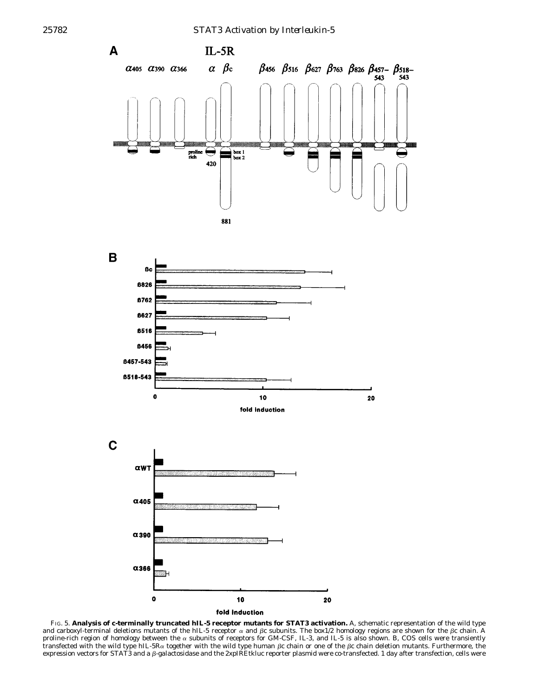

FIG. 5. **Analysis of c-terminally truncated hIL-5 receptor mutants for STAT3 activation.** *A*, schematic representation of the wild type and carboxyl-terminal deletions mutants of the hIL-5 receptor  $\alpha$  and  $\beta$ c subunits. The box1/2 homology regions are shown for the  $\beta$ c chain. A proline-rich region of homology between the  $\alpha$  subunits of receptors for GM-CSF, IL-3, and IL-5 is also shown. *B*, COS cells were transiently transfected with the wild type hIL-5R $\alpha$  together with the wild type human  $\beta c$  chain or one of the  $\beta c$  chain deletion mutants. Furthermore, the expression vectors for STAT3 and a  $\beta$ -galactosidase and the 2xpIREtkluc reporter plasmid were co-transfected. 1 day after transfection, cells were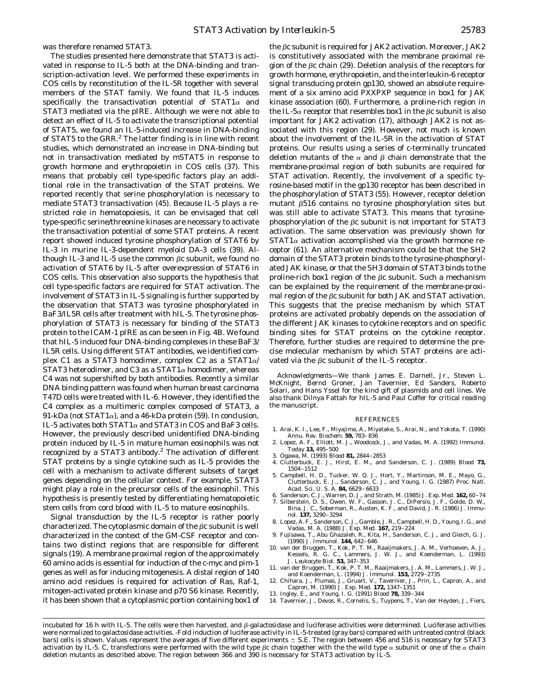was therefore renamed STAT3.

The studies presented here demonstrate that STAT3 is activated in response to IL-5 both at the DNA-binding and transcription-activation level. We performed these experiments in COS cells by reconstitution of the IL-5R together with several members of the STAT family. We found that IL-5 induces specifically the transactivation potential of  $STAT1\alpha$  and STAT3 mediated via the pIRE. Although we were not able to detect an effect of IL-5 to activate the transcriptional potential of STAT5, we found an IL-5-induced increase in DNA-binding of STAT5 to the GRR.<sup>2</sup> The latter finding is in line with recent studies, which demonstrated an increase in DNA-binding but not in transactivation mediated by mSTAT5 in response to growth hormone and erythropoietin in COS cells (37). This means that probably cell type-specific factors play an additional role in the transactivation of the STAT proteins. We reported recently that serine phosphorylation is necessary to mediate STAT3 transactivation (45). Because IL-5 plays a restricted role in hematopoiesis, it can be envisaged that cell type-specific serine/threonine kinases are necessary to activate the transactivation potential of some STAT proteins. A recent report showed induced tyrosine phosphorylation of STAT6 by IL-3 in murine IL-3-dependent myeloid DA-3 cells (39). Although IL-3 and IL-5 use the common  $\beta c$  subunit, we found no activation of STAT6 by IL-5 after overexpression of STAT6 in COS cells. This observation also supports the hypothesis that cell type-specific factors are required for STAT activation. The involvement of STAT3 in IL-5 signaling is further supported by the observation that STAT3 was tyrosine phosphorylated in BaF3/IL5R cells after treatment with hIL-5. The tyrosine phosphorylation of STAT3 is necessary for binding of the STAT3 protein to the ICAM-1 pIRE as can be seen in Fig. 4*B*. We found that hIL-5 induced four DNA-binding complexes in these BaF3/ IL5R cells. Using different STAT antibodies, we identified complex C1 as a STAT3 homodimer, complex C2 as a STAT1 $\alpha$ / STAT3 heterodimer, and C3 as a STAT1 $\alpha$  homodimer, whereas C4 was not supershifted by both antibodies. Recently a similar DNA binding pattern was found when human breast carcinoma T47D cells were treated with IL-6. However, they identified the C4 complex as a multimeric complex composed of STAT3, a 91-kDa (not STAT1 $\alpha$ ), and a 46-kDa protein (59). In conclusion, IL-5 activates both STAT1 $\alpha$  and STAT3 in COS and BaF3 cells. However, the previously described unidentified DNA-binding protein induced by IL-5 in mature human eosinophils was not recognized by a STAT3 antibody.<sup>2</sup> The activation of different STAT proteins by a single cytokine such as IL-5 provides the cell with a mechanism to activate different subsets of target genes depending on the cellular context. For example, STAT3 might play a role in the precursor cells of the eosinophil. This hypothesis is presently tested by differentiating hematopoietic stem cells from cord blood with IL-5 to mature eosinophils.

Signal transduction by the IL-5 receptor is rather poorly characterized. The cytoplasmic domain of the  $\beta c$  subunit is well characterized in the context of the GM-CSF receptor and contains two distinct regions that are responsible for different signals (19). A membrane proximal region of the approximately 60 amino acids is essential for induction of the *c-myc* and *pim*-1 genes as well as for inducing mitogenesis. A distal region of 140 amino acid residues is required for activation of Ras, Raf-1, mitogen-activated protein kinase and p70 S6 kinase. Recently, it has been shown that a cytoplasmic portion containing box1 of

the  $\beta$ c subunit is required for JAK2 activation. Moreover, JAK2 is constitutively associated with the membrane proximal region of the  $\beta c$  chain (29). Deletion analysis of the receptors for growth hormone, erythropoietin, and the interleukin-6 receptor signal transducing protein gp130, showed an absolute requirement of a six amino acid P*XX*P*X*P sequence in box1 for JAK kinase association (60). Furthermore, a proline-rich region in the IL-5 $\alpha$  receptor that resembles box1 in the  $\beta c$  subunit is also important for JAK2 activation (17), although JAK2 is not associated with this region (29). However, not much is known about the involvement of the IL-5R in the activation of STAT proteins. Our results using a series of c-terminally truncated deletion mutants of the  $\alpha$  and  $\beta$  chain demonstrate that the membrane-proximal region of both subunits are required for STAT activation. Recently, the involvement of a specific tyrosine-based motif in the gp130 receptor has been described in the phosphorylation of STAT3 (55). However, receptor deletion mutant  $\beta$ 516 contains no tyrosine phosphorylation sites but was still able to activate STAT3. This means that tyrosinephosphorylation of the  $\beta c$  subunit is not important for STAT3 activation. The same observation was previously shown for  $STAT1\alpha$  activation accomplished via the growth hormone receptor (61). An alternative mechanism could be that the SH2 domain of the STAT3 protein binds to the tyrosine-phosphorylated JAK kinase, or that the SH3 domain of STAT3 binds to the proline-rich box1 region of the  $\beta c$  subunit. Such a mechanism can be explained by the requirement of the membrane-proximal region of the  $\beta c$  subunit for both JAK and STAT activation. This suggests that the precise mechanism by which STAT proteins are activated probably depends on the association of the different JAK kinases to cytokine receptors and on specific binding sites for STAT proteins on the cytokine receptor. Therefore, further studies are required to determine the precise molecular mechanism by which STAT proteins are activated via the  $\beta c$  subunit of the IL-5 receptor.

*Acknowledgments—*We thank James E. Darnell, Jr., Steven L. McKnight, Bernd Groner, Jan Tavernier, Ed Sanders, Roberto Solari, and Hans Yssel for the kind gift of plasmids and cell lines. We also thank Dilnya Fattah for hIL-5 and Paul Coffer for critical reading the manuscript.

#### REFERENCES

- 1. Arai, K. I., Lee, F., Miyajima, A., Miyatake, S., Arai, N., and Yokota, T. (1990) *Annu. Rev. Biochem.* **59,** 783– 836
- 2. Lopez, A. F., Elliott, M. J., Woodcock, J., and Vadas, M. A. (1992) *Immunol. Today* **13,** 495–500
- 3. Ogawa, M. (1993) *Blood* **81,** 2844 –2853
- 4. Clutterbuck, E. J., Hirst, E. M., and Sanderson, C. J. (1989) *Blood* **73,** 1504 –1512
- 5. Campbell, H. D., Tucker, W. Q. J., Hort, Y., Martinson, M. E., Mayo, G., Clutterbuck, E. J., Sanderson, C. J., and Young, I. G. (1987) *Proc. Natl. Acad. Sci. U. S. A.* **84,** 6629 – 6633
- 6. Sanderson, C. J., Warren, D. J., and Strath, M. (1985) *J. Exp. Med.* **162,** 60 –74
- 7. Silberstein, D. S., Owen, W. F., Gasson, J. C., DiPersio, J. F., Golde, D. W., Bina, J. C., Soberman, R., Austen, K. F., and David, J. R. (1986) *J. Immunol.* **137,** 3290 –3294
- 8. Lopez, A. F., Sanderson, C. J., Gamble, J. R., Campbell, H. D., Young, I. G., and Vadas, M. A. (1988) *J. Exp. Med.* **167,** 219 –224 9. Fujisawa, T., Abu Ghazaleh, R., Kita, H., Sanderson, C. J., and Gleich, G. J.
- (1990) *J. Immunol.* **144,** 642– 646
- 10. van der Bruggen, T., Kok, P. T. M., Raaijmakers, J. A. M., Verhoeven, A. J., Kessels, R. G. C., Lammers, J. W. J., and Koenderman, L. (1993) *J. Leukocyte Biol.* **53,** 347–353
- 11. van der Bruggen, T., Kok, P. T. M., Raaijmakers, J. A. M., Lammers, J. W. J., and Koenderman, L. (1994) *J. Immunol.* **153,** 2729 –2735
- 12. Chihara, J., Plumas, J., Gruart, V., Tavernier, J., Prin, L., Capron, A., and Capron, M. (1990) *J. Exp. Med.* **172,** 1347–1351
- 13. Ingley, E., and Young, I. G. (1991) *Blood* **78,** 339 –344
- 14. Tavernier, J., Devos, R., Cornelis, S., Tuypens, T., Van der Heyden, J., Fiers,

incubated for 16 h with IL-5. The cells were then harvested, and  $\beta$ -galactosidase and luciferase activities were determined. Luciferase activities were normalized to galactosidase activities. -Fold induction of luciferase activity in IL-5-treated (*gray bars*) compared with untreated control (*black bars*) cells is shown. Values represent the averages of five different experiments  $\pm$  S.E. The region between 456 and 516 is necessary for STAT3 activation by IL-5. *C*, transfections were performed with the wild type  $\beta$ c chain together with the the wild type  $\alpha$  subunit or one of the  $\alpha$  chain deletion mutants as described above. The region between 366 and 390 is necessary for STAT3 activation by IL-5.